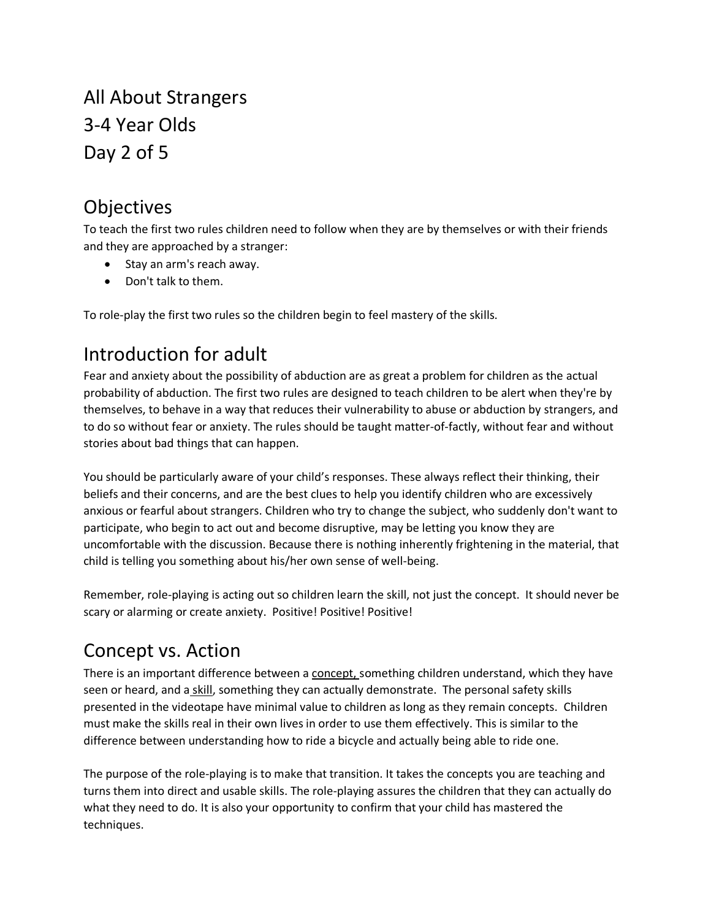All About Strangers 3-4 Year Olds Day 2 of 5

## Objectives

To teach the first two rules children need to follow when they are by themselves or with their friends and they are approached by a stranger:

- Stay an arm's reach away.
- Don't talk to them.

To role-play the first two rules so the children begin to feel mastery of the skills.

# Introduction for adult

Fear and anxiety about the possibility of abduction are as great a problem for children as the actual probability of abduction. The first two rules are designed to teach children to be alert when they're by themselves, to behave in a way that reduces their vulnerability to abuse or abduction by strangers, and to do so without fear or anxiety. The rules should be taught matter-of-factly, without fear and without stories about bad things that can happen.

You should be particularly aware of your child's responses. These always reflect their thinking, their beliefs and their concerns, and are the best clues to help you identify children who are excessively anxious or fearful about strangers. Children who try to change the subject, who suddenly don't want to participate, who begin to act out and become disruptive, may be letting you know they are uncomfortable with the discussion. Because there is nothing inherently frightening in the material, that child is telling you something about his/her own sense of well-being.

Remember, role-playing is acting out so children learn the skill, not just the concept. It should never be scary or alarming or create anxiety. Positive! Positive! Positive!

## Concept vs. Action

There is an important difference between a concept, something children understand, which they have seen or heard, and a skill, something they can actually demonstrate. The personal safety skills presented in the videotape have minimal value to children as long as they remain concepts. Children must make the skills real in their own lives in order to use them effectively. This is similar to the difference between understanding how to ride a bicycle and actually being able to ride one.

The purpose of the role-playing is to make that transition. It takes the concepts you are teaching and turns them into direct and usable skills. The role-playing assures the children that they can actually do what they need to do. It is also your opportunity to confirm that your child has mastered the techniques.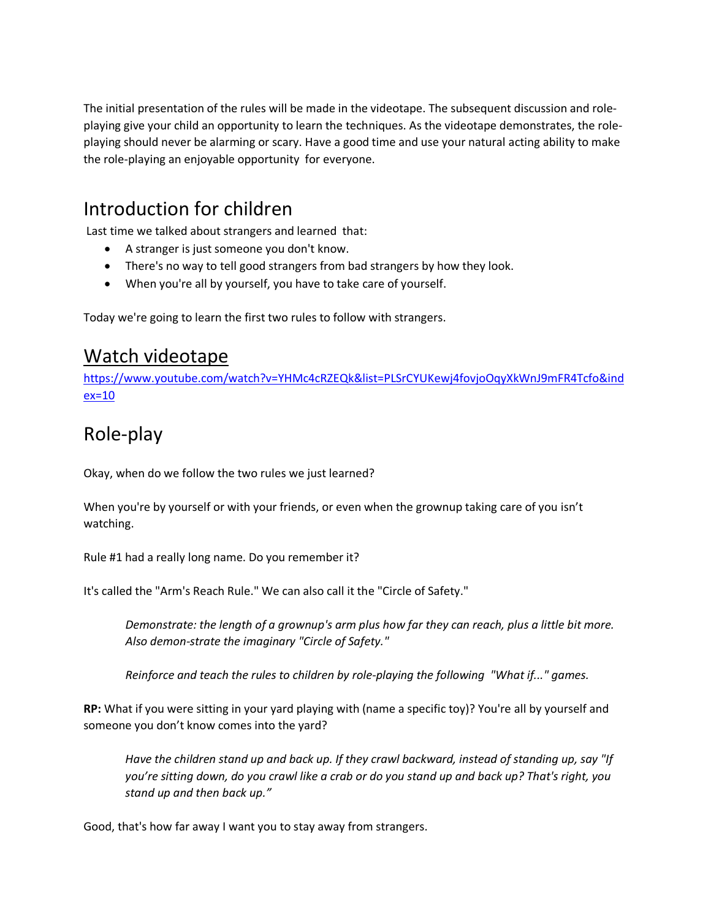The initial presentation of the rules will be made in the videotape. The subsequent discussion and roleplaying give your child an opportunity to learn the techniques. As the videotape demonstrates, the roleplaying should never be alarming or scary. Have a good time and use your natural acting ability to make the role-playing an enjoyable opportunity for everyone.

## Introduction for children

Last time we talked about strangers and learned that:

- A stranger is just someone you don't know.
- There's no way to tell good strangers from bad strangers by how they look.
- When you're all by yourself, you have to take care of yourself.

Today we're going to learn the first two rules to follow with strangers.

#### Watch videotape

[https://www.youtube.com/watch?v=YHMc4cRZEQk&list=PLSrCYUKewj4fovjoOqyXkWnJ9mFR4Tcfo&ind](https://www.youtube.com/watch?v=YHMc4cRZEQk&list=PLSrCYUKewj4fovjoOqyXkWnJ9mFR4Tcfo&index=10) [ex=10](https://www.youtube.com/watch?v=YHMc4cRZEQk&list=PLSrCYUKewj4fovjoOqyXkWnJ9mFR4Tcfo&index=10)

# Role-play

Okay, when do we follow the two rules we just learned?

When you're by yourself or with your friends, or even when the grownup taking care of you isn't watching.

Rule #1 had a really long name. Do you remember it?

It's called the "Arm's Reach Rule." We can also call it the "Circle of Safety."

*Demonstrate: the length of a grownup's arm plus how far they can reach, plus a little bit more.*  Also demon-strate the imaginary "Circle of Safety."

*Reinforce and teach the rules to children by role-playing the following "What if..." games.*

**RP:** What if you were sitting in your yard playing with (name a specific toy)? You're all by yourself and someone you don't know comes into the yard?

*Have the children stand up and back up. If they crawl backward, instead of standing up, say "If you're sitting down, do you crawl like a crab or do you stand up and back up? That's right, you stand up and then back up."*

Good, that's how far away I want you to stay away from strangers.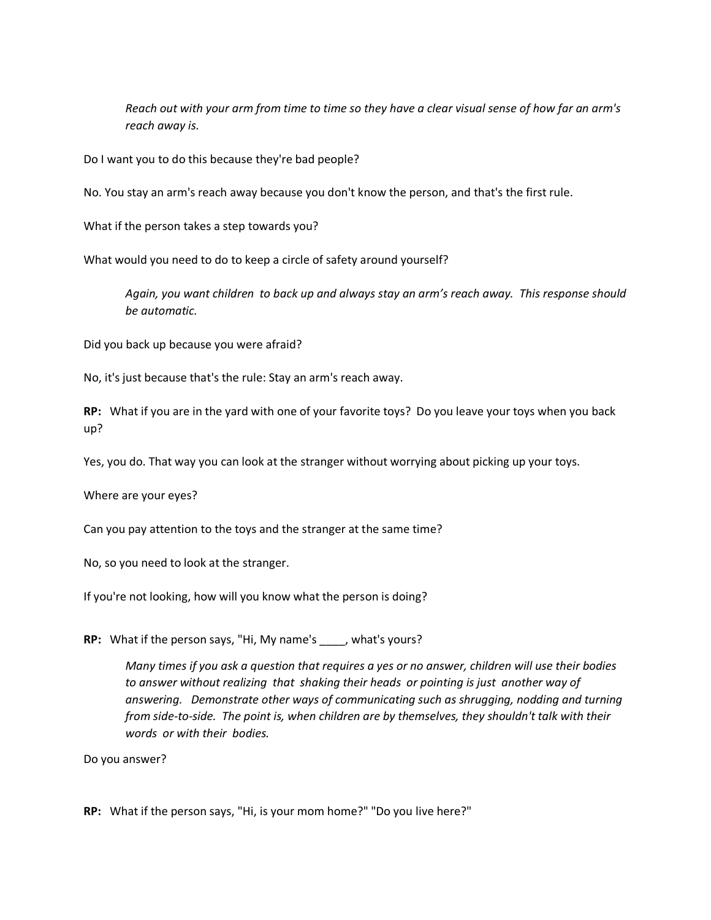*Reach out with your arm from time to time so they have a clear visual sense of how far an arm's reach away is.*

Do I want you to do this because they're bad people?

No. You stay an arm's reach away because you don't know the person, and that's the first rule.

What if the person takes a step towards you?

What would you need to do to keep a circle of safety around yourself?

*Again, you want children to back up and always stay an arm's reach away. This response should be automatic.*

Did you back up because you were afraid?

No, it's just because that's the rule: Stay an arm's reach away.

**RP:** What if you are in the yard with one of your favorite toys? Do you leave your toys when you back up?

Yes, you do. That way you can look at the stranger without worrying about picking up your toys.

Where are your eyes?

Can you pay attention to the toys and the stranger at the same time?

No, so you need to look at the stranger.

If you're not looking, how will you know what the person is doing?

**RP:** What if the person says, "Hi, My name's \_\_\_\_, what's yours?

*Many times if you ask a question that requires a yes or no answer, children will use their bodies to answer without realizing that shaking their heads or pointing is just another way of answering. Demonstrate other ways of communicating such as shrugging, nodding and turning from side-to-side. The point is, when children are by themselves, they shouldn't talk with their words or with their bodies.*

Do you answer?

**RP:** What if the person says, "Hi, is your mom home?" "Do you live here?"